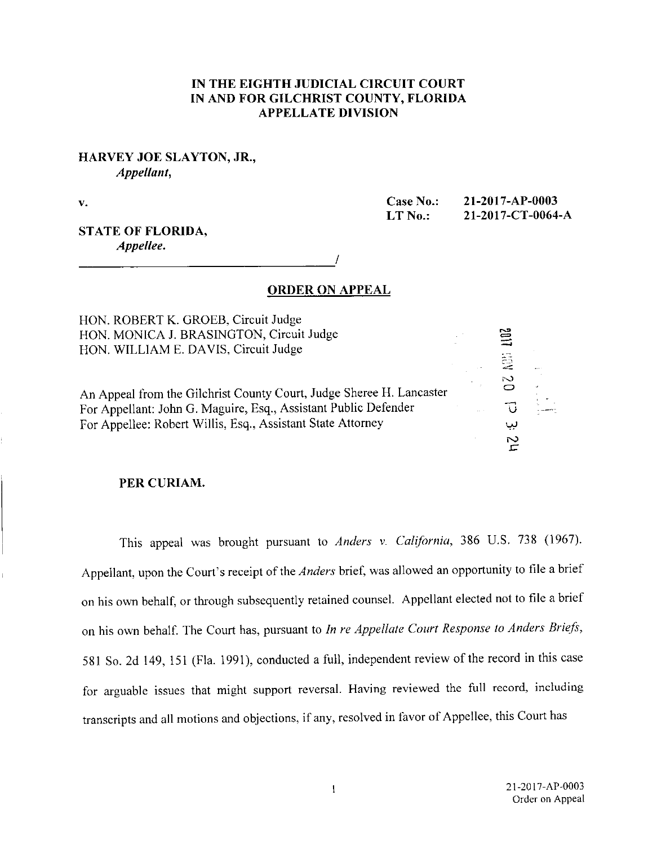## IN THE EIGHTH JUDICIAL CIRCUIT COURT IN AND FOR GILCHRIST COUNTY, FLORIDA APPELLATE DIVISION

## HARVEY JOE SLAYTON, JR., Appellant,

V.

Case No.: 21-2017-AP-0003 LT No.: 21-2017-CT-0064-A

C=ZI

02 MH

## STATE OF FLORIDA, Appellee.

ORDER ON APPEAL

HON. ROBERT K. GROEB, Circuit Judge HON. MONICA J. BRASINGTON, Circuit Judge HON. WILLIAM E. DAVIS, Circuit Judge

An Appeal from the Gilchrist County Court, Judge Sheree H. Lancaster For Appellant: John G. Maguire, Esq., Assistant Public Defender For Appellee: Robert Willis, Esq., Assistant State Attorney

#### PER CURIAM.

This appeal was brought pursuant to Anders v. California, 386 U.S. 738 (1967). Appellant, upon the Court's receipt of the Anders brief, was allowed an opportunity to file a brief on his own behalf, or through subsequently retained counsel. Appellant elected not to file a brief on his own behalf. The Court has, pursuant to In re Appellate Court Response to Anders Briefs, <sup>581</sup>So. 2d 149, 151 (Fla. 1991), conducted a full, independent review of the record in this case for arguable issues that might support reversal. Having reviewed the full record, including transcripts and all motions and objections, if any, resolved in favor of Appellee, this Court has